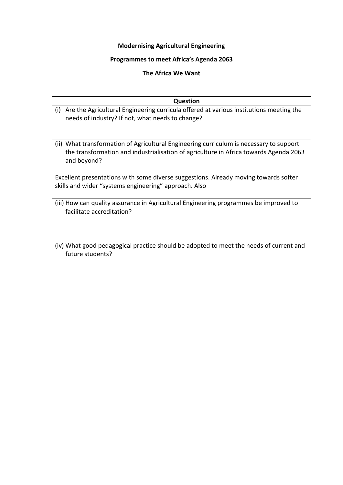# **Modernising Agricultural Engineering**

## **Programmes to meet Africa's Agenda 2063**

## **The Africa We Want**

| <b>Question</b>                                                                                                                                                                                 |
|-------------------------------------------------------------------------------------------------------------------------------------------------------------------------------------------------|
| (i) Are the Agricultural Engineering curricula offered at various institutions meeting the<br>needs of industry? If not, what needs to change?                                                  |
| (ii) What transformation of Agricultural Engineering curriculum is necessary to support<br>the transformation and industrialisation of agriculture in Africa towards Agenda 2063<br>and beyond? |
| Excellent presentations with some diverse suggestions. Already moving towards softer<br>skills and wider "systems engineering" approach. Also                                                   |
| (iii) How can quality assurance in Agricultural Engineering programmes be improved to<br>facilitate accreditation?                                                                              |
| (iv) What good pedagogical practice should be adopted to meet the needs of current and<br>future students?                                                                                      |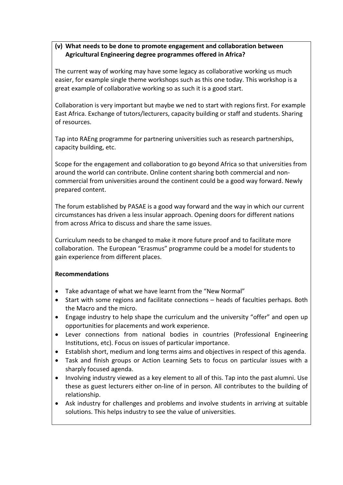### **(v) What needs to be done to promote engagement and collaboration between Agricultural Engineering degree programmes offered in Africa?**

The current way of working may have some legacy as collaborative working us much easier, for example single theme workshops such as this one today. This workshop is a great example of collaborative working so as such it is a good start.

Collaboration is very important but maybe we ned to start with regions first. For example East Africa. Exchange of tutors/lecturers, capacity building or staff and students. Sharing of resources.

Tap into RAEng programme for partnering universities such as research partnerships, capacity building, etc.

Scope for the engagement and collaboration to go beyond Africa so that universities from around the world can contribute. Online content sharing both commercial and noncommercial from universities around the continent could be a good way forward. Newly prepared content.

The forum established by PASAE is a good way forward and the way in which our current circumstances has driven a less insular approach. Opening doors for different nations from across Africa to discuss and share the same issues.

Curriculum needs to be changed to make it more future proof and to facilitate more collaboration. The European "Erasmus" programme could be a model for students to gain experience from different places.

### **Recommendations**

- Take advantage of what we have learnt from the "New Normal"
- Start with some regions and facilitate connections heads of faculties perhaps. Both the Macro and the micro.
- Engage industry to help shape the curriculum and the university "offer" and open up opportunities for placements and work experience.
- Lever connections from national bodies in countries (Professional Engineering Institutions, etc). Focus on issues of particular importance.
- Establish short, medium and long terms aims and objectives in respect of this agenda.
- Task and finish groups or Action Learning Sets to focus on particular issues with a sharply focused agenda.
- Involving industry viewed as a key element to all of this. Tap into the past alumni. Use these as guest lecturers either on-line of in person. All contributes to the building of relationship.
- Ask industry for challenges and problems and involve students in arriving at suitable solutions. This helps industry to see the value of universities.